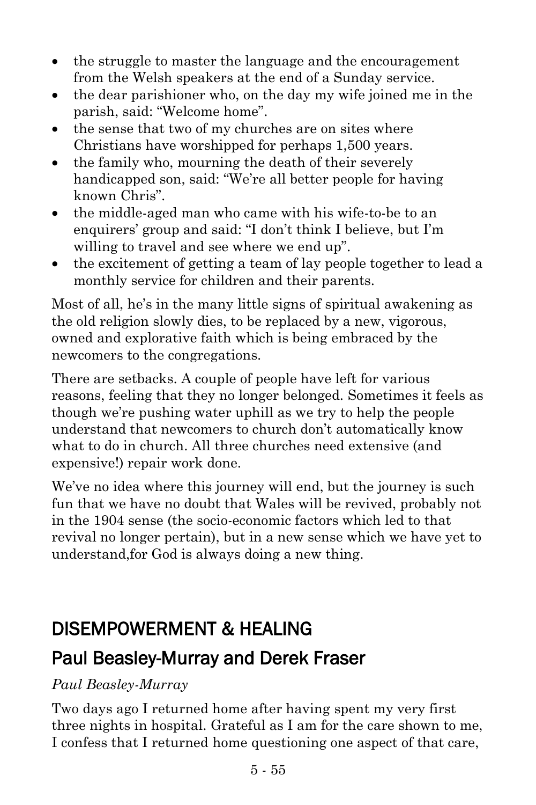- the struggle to master the language and the encouragement from the Welsh speakers at the end of a Sunday service.
- the dear parishioner who, on the day my wife joined me in the parish, said: "Welcome home".
- the sense that two of my churches are on sites where Christians have worshipped for perhaps 1,500 years.
- the family who, mourning the death of their severely handicapped son, said: "We're all better people for having known Chris".
- the middle-aged man who came with his wife-to-be to an enquirers' group and said: "I don't think I believe, but I'm willing to travel and see where we end up".
- the excitement of getting a team of lay people together to lead a monthly service for children and their parents.

Most of all, he's in the many little signs of spiritual awakening as the old religion slowly dies, to be replaced by a new, vigorous, owned and explorative faith which is being embraced by the newcomers to the congregations.

There are setbacks. A couple of people have left for various reasons, feeling that they no longer belonged. Sometimes it feels as though we're pushing water uphill as we try to help the people understand that newcomers to church don't automatically know what to do in church. All three churches need extensive (and expensive!) repair work done.

We've no idea where this journey will end, but the journey is such fun that we have no doubt that Wales will be revived, probably not in the 1904 sense (the socio-economic factors which led to that revival no longer pertain), but in a new sense which we have yet to understand,for God is always doing a new thing.

# DISEMPOWERMENT & HEALING

## [Paul Beasley-Murray](https://www.ministrytoday.org.uk/magazine/authors/423/) and [Derek Fraser](https://www.ministrytoday.org.uk/magazine/authors/327/)

### *Paul Beasley-Murray*

Two days ago I returned home after having spent my very first three nights in hospital. Grateful as I am for the care shown to me, I confess that I returned home questioning one aspect of that care,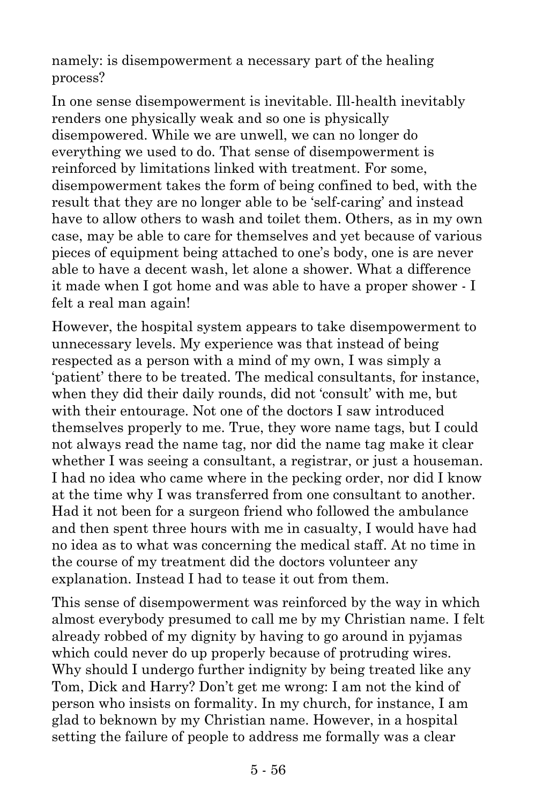namely: is disempowerment a necessary part of the healing process?

In one sense disempowerment is inevitable. Ill-health inevitably renders one physically weak and so one is physically disempowered. While we are unwell, we can no longer do everything we used to do. That sense of disempowerment is reinforced by limitations linked with treatment. For some, disempowerment takes the form of being confined to bed, with the result that they are no longer able to be 'self-caring' and instead have to allow others to wash and toilet them. Others, as in my own case, may be able to care for themselves and yet because of various pieces of equipment being attached to one's body, one is are never able to have a decent wash, let alone a shower. What a difference it made when I got home and was able to have a proper shower - I felt a real man again!

However, the hospital system appears to take disempowerment to unnecessary levels. My experience was that instead of being respected as a person with a mind of my own, I was simply a 'patient' there to be treated. The medical consultants, for instance, when they did their daily rounds, did not 'consult' with me, but with their entourage. Not one of the doctors I saw introduced themselves properly to me. True, they wore name tags, but I could not always read the name tag, nor did the name tag make it clear whether I was seeing a consultant, a registrar, or just a houseman. I had no idea who came where in the pecking order, nor did I know at the time why I was transferred from one consultant to another. Had it not been for a surgeon friend who followed the ambulance and then spent three hours with me in casualty, I would have had no idea as to what was concerning the medical staff. At no time in the course of my treatment did the doctors volunteer any explanation. Instead I had to tease it out from them.

This sense of disempowerment was reinforced by the way in which almost everybody presumed to call me by my Christian name. I felt already robbed of my dignity by having to go around in pyjamas which could never do up properly because of protruding wires. Why should I undergo further indignity by being treated like any Tom, Dick and Harry? Don't get me wrong: I am not the kind of person who insists on formality. In my church, for instance, I am glad to beknown by my Christian name. However, in a hospital setting the failure of people to address me formally was a clear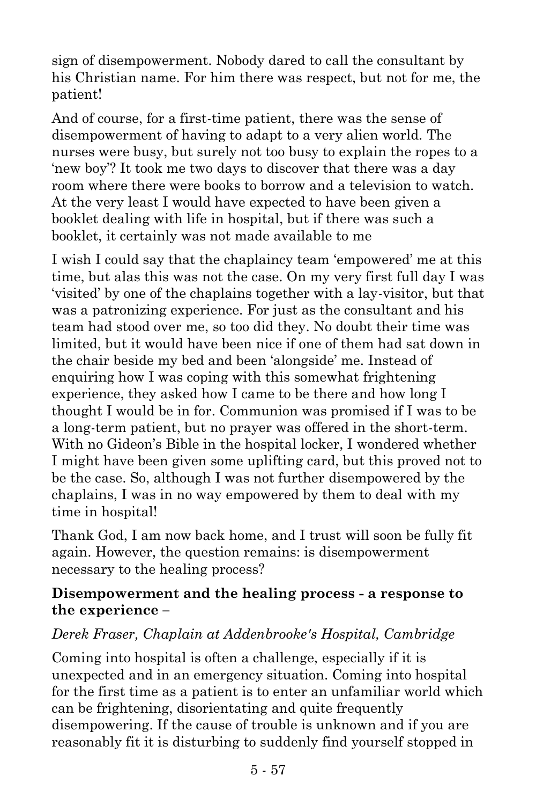sign of disempowerment. Nobody dared to call the consultant by his Christian name. For him there was respect, but not for me, the patient!

And of course, for a first-time patient, there was the sense of disempowerment of having to adapt to a very alien world. The nurses were busy, but surely not too busy to explain the ropes to a 'new boy'? It took me two days to discover that there was a day room where there were books to borrow and a television to watch. At the very least I would have expected to have been given a booklet dealing with life in hospital, but if there was such a booklet, it certainly was not made available to me

I wish I could say that the chaplaincy team 'empowered' me at this time, but alas this was not the case. On my very first full day I was 'visited' by one of the chaplains together with a lay-visitor, but that was a patronizing experience. For just as the consultant and his team had stood over me, so too did they. No doubt their time was limited, but it would have been nice if one of them had sat down in the chair beside my bed and been 'alongside' me. Instead of enquiring how I was coping with this somewhat frightening experience, they asked how I came to be there and how long I thought I would be in for. Communion was promised if I was to be a long-term patient, but no prayer was offered in the short-term. With no Gideon's Bible in the hospital locker, I wondered whether I might have been given some uplifting card, but this proved not to be the case. So, although I was not further disempowered by the chaplains, I was in no way empowered by them to deal with my time in hospital!

Thank God, I am now back home, and I trust will soon be fully fit again. However, the question remains: is disempowerment necessary to the healing process?

#### **Disempowerment and the healing process - a response to the experience –**

#### *Derek Fraser, Chaplain at Addenbrooke's Hospital, Cambridge*

Coming into hospital is often a challenge, especially if it is unexpected and in an emergency situation. Coming into hospital for the first time as a patient is to enter an unfamiliar world which can be frightening, disorientating and quite frequently disempowering. If the cause of trouble is unknown and if you are reasonably fit it is disturbing to suddenly find yourself stopped in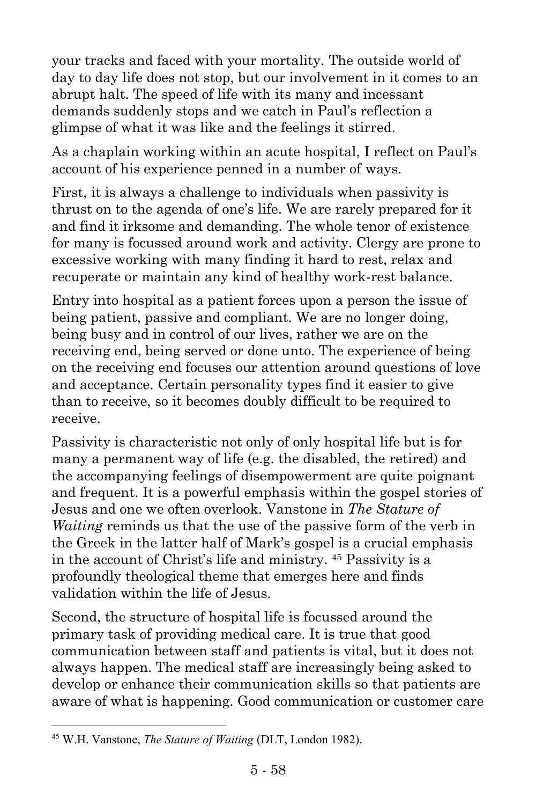your tracks and faced with your mortality. The outside world of day to day life does not stop, but our involvement in it comes to an abrupt halt. The speed of life with its many and incessant demands suddenly stops and we catch in Paul's reflection a glimpse of what it was like and the feelings it stirred.

As a chaplain working within an acute hospital, I reflect on Paul's account of his experience penned in a number of ways.

First, it is always a challenge to individuals when passivity is thrust on to the agenda of one's life. We are rarely prepared for it and find it irksome and demanding. The whole tenor of existence for many is focussed around work and activity. Clergy are prone to excessive working with many finding it hard to rest, relax and recuperate or maintain any kind of healthy work-rest balance.

Entry into hospital as a patient forces upon a person the issue of being patient, passive and compliant. We are no longer doing, being busy and in control of our lives, rather we are on the receiving end, being served or done unto. The experience of being on the receiving end focuses our attention around questions of love and acceptance. Certain personality types find it easier to give than to receive, so it becomes doubly difficult to be required to receive.

Passivity is characteristic not only of only hospital life but is for many a permanent way of life (e.g. the disabled, the retired) and the accompanying feelings of disempowerment are quite poignant and frequent. It is a powerful emphasis within the gospel stories of Jesus and one we often overlook. Vanstone in *The Stature of Waiting* reminds us that the use of the passive form of the verb in the Greek in the latter half of Mark's gospel is a crucial emphasis in the account of Christ's life and ministry. <sup>45</sup> Passivity is a profoundly theological theme that emerges here and finds validation within the life of Jesus.

Second, the structure of hospital life is focussed around the primary task of providing medical care. It is true that good communication between staff and patients is vital, but it does not always happen. The medical staff are increasingly being asked to develop or enhance their communication skills so that patients are aware of what is happening. Good communication or customer care

 $\overline{a}$ 

<sup>45</sup> W.H. Vanstone, *The Stature of Waiting* (DLT, London 1982).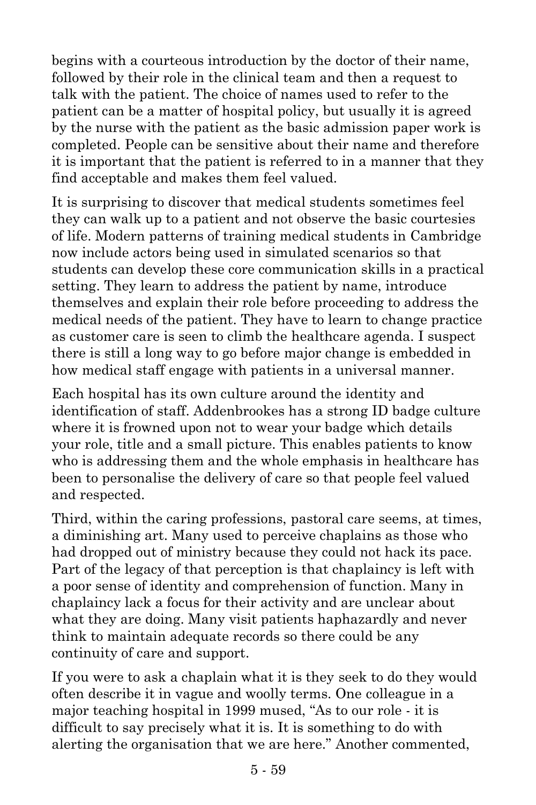begins with a courteous introduction by the doctor of their name, followed by their role in the clinical team and then a request to talk with the patient. The choice of names used to refer to the patient can be a matter of hospital policy, but usually it is agreed by the nurse with the patient as the basic admission paper work is completed. People can be sensitive about their name and therefore it is important that the patient is referred to in a manner that they find acceptable and makes them feel valued.

It is surprising to discover that medical students sometimes feel they can walk up to a patient and not observe the basic courtesies of life. Modern patterns of training medical students in Cambridge now include actors being used in simulated scenarios so that students can develop these core communication skills in a practical setting. They learn to address the patient by name, introduce themselves and explain their role before proceeding to address the medical needs of the patient. They have to learn to change practice as customer care is seen to climb the healthcare agenda. I suspect there is still a long way to go before major change is embedded in how medical staff engage with patients in a universal manner.

Each hospital has its own culture around the identity and identification of staff. Addenbrookes has a strong ID badge culture where it is frowned upon not to wear your badge which details your role, title and a small picture. This enables patients to know who is addressing them and the whole emphasis in healthcare has been to personalise the delivery of care so that people feel valued and respected.

Third, within the caring professions, pastoral care seems, at times, a diminishing art. Many used to perceive chaplains as those who had dropped out of ministry because they could not hack its pace. Part of the legacy of that perception is that chaplaincy is left with a poor sense of identity and comprehension of function. Many in chaplaincy lack a focus for their activity and are unclear about what they are doing. Many visit patients haphazardly and never think to maintain adequate records so there could be any continuity of care and support.

If you were to ask a chaplain what it is they seek to do they would often describe it in vague and woolly terms. One colleague in a major teaching hospital in 1999 mused, "As to our role - it is difficult to say precisely what it is. It is something to do with alerting the organisation that we are here." Another commented,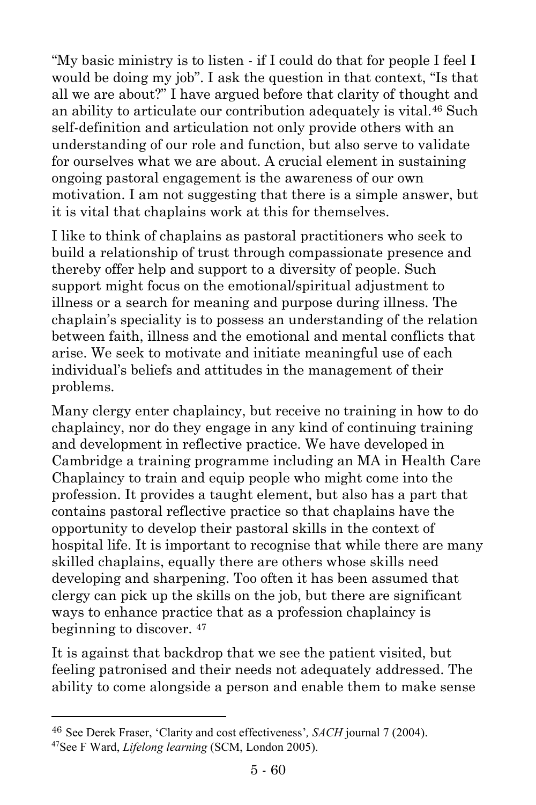"My basic ministry is to listen - if I could do that for people I feel I would be doing my job". I ask the question in that context, "Is that all we are about?" I have argued before that clarity of thought and an ability to articulate our contribution adequately is vital.<sup>46</sup> Such self-definition and articulation not only provide others with an understanding of our role and function, but also serve to validate for ourselves what we are about. A crucial element in sustaining ongoing pastoral engagement is the awareness of our own motivation. I am not suggesting that there is a simple answer, but it is vital that chaplains work at this for themselves.

I like to think of chaplains as pastoral practitioners who seek to build a relationship of trust through compassionate presence and thereby offer help and support to a diversity of people. Such support might focus on the emotional/spiritual adjustment to illness or a search for meaning and purpose during illness. The chaplain's speciality is to possess an understanding of the relation between faith, illness and the emotional and mental conflicts that arise. We seek to motivate and initiate meaningful use of each individual's beliefs and attitudes in the management of their problems.

Many clergy enter chaplaincy, but receive no training in how to do chaplaincy, nor do they engage in any kind of continuing training and development in reflective practice. We have developed in Cambridge a training programme including an MA in Health Care Chaplaincy to train and equip people who might come into the profession. It provides a taught element, but also has a part that contains pastoral reflective practice so that chaplains have the opportunity to develop their pastoral skills in the context of hospital life. It is important to recognise that while there are many skilled chaplains, equally there are others whose skills need developing and sharpening. Too often it has been assumed that clergy can pick up the skills on the job, but there are significant ways to enhance practice that as a profession chaplaincy is beginning to discover. <sup>47</sup>

It is against that backdrop that we see the patient visited, but feeling patronised and their needs not adequately addressed. The ability to come alongside a person and enable them to make sense

l

<sup>46</sup> See Derek Fraser, 'Clarity and cost effectiveness'*, SACH* journal 7 (2004).

<sup>47</sup>See F Ward, *Lifelong learning* (SCM, London 2005).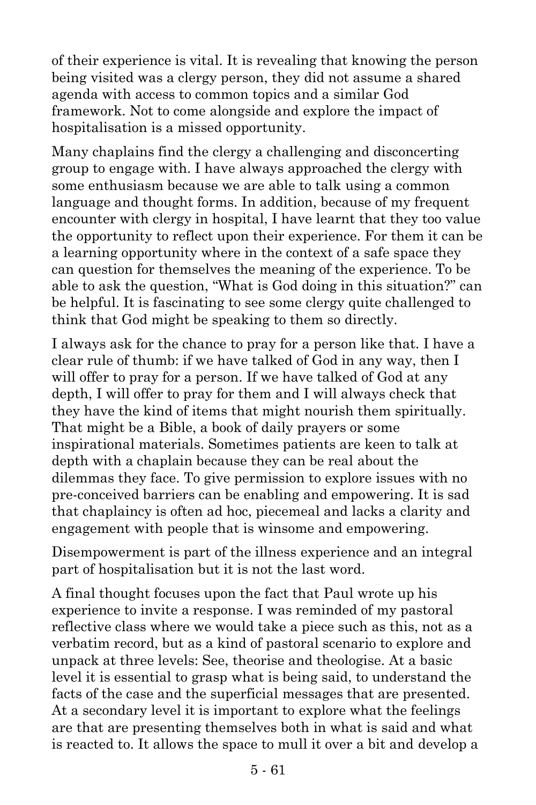of their experience is vital. It is revealing that knowing the person being visited was a clergy person, they did not assume a shared agenda with access to common topics and a similar God framework. Not to come alongside and explore the impact of hospitalisation is a missed opportunity.

Many chaplains find the clergy a challenging and disconcerting group to engage with. I have always approached the clergy with some enthusiasm because we are able to talk using a common language and thought forms. In addition, because of my frequent encounter with clergy in hospital, I have learnt that they too value the opportunity to reflect upon their experience. For them it can be a learning opportunity where in the context of a safe space they can question for themselves the meaning of the experience. To be able to ask the question, "What is God doing in this situation?" can be helpful. It is fascinating to see some clergy quite challenged to think that God might be speaking to them so directly.

I always ask for the chance to pray for a person like that. I have a clear rule of thumb: if we have talked of God in any way, then I will offer to pray for a person. If we have talked of God at any depth, I will offer to pray for them and I will always check that they have the kind of items that might nourish them spiritually. That might be a Bible, a book of daily prayers or some inspirational materials. Sometimes patients are keen to talk at depth with a chaplain because they can be real about the dilemmas they face. To give permission to explore issues with no pre-conceived barriers can be enabling and empowering. It is sad that chaplaincy is often ad hoc, piecemeal and lacks a clarity and engagement with people that is winsome and empowering.

Disempowerment is part of the illness experience and an integral part of hospitalisation but it is not the last word.

A final thought focuses upon the fact that Paul wrote up his experience to invite a response. I was reminded of my pastoral reflective class where we would take a piece such as this, not as a verbatim record, but as a kind of pastoral scenario to explore and unpack at three levels: See, theorise and theologise. At a basic level it is essential to grasp what is being said, to understand the facts of the case and the superficial messages that are presented. At a secondary level it is important to explore what the feelings are that are presenting themselves both in what is said and what is reacted to. It allows the space to mull it over a bit and develop a